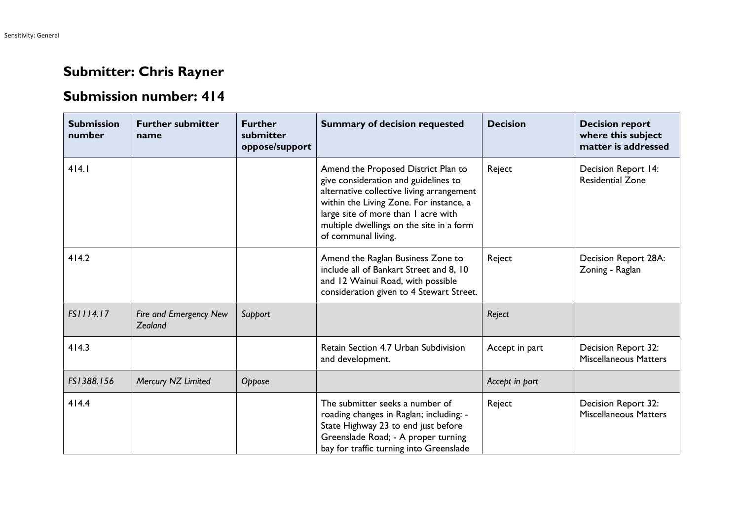## **Submitter: Chris Rayner**

## **Submission number: 414**

| <b>Submission</b><br>number | <b>Further submitter</b><br>name  | <b>Further</b><br>submitter<br>oppose/support | <b>Summary of decision requested</b>                                                                                                                                                                                                                                          | <b>Decision</b> | <b>Decision report</b><br>where this subject<br>matter is addressed |
|-----------------------------|-----------------------------------|-----------------------------------------------|-------------------------------------------------------------------------------------------------------------------------------------------------------------------------------------------------------------------------------------------------------------------------------|-----------------|---------------------------------------------------------------------|
| 414.1                       |                                   |                                               | Amend the Proposed District Plan to<br>give consideration and guidelines to<br>alternative collective living arrangement<br>within the Living Zone. For instance, a<br>large site of more than I acre with<br>multiple dwellings on the site in a form<br>of communal living. | Reject          | Decision Report 14:<br><b>Residential Zone</b>                      |
| 414.2                       |                                   |                                               | Amend the Raglan Business Zone to<br>include all of Bankart Street and 8, 10<br>and 12 Wainui Road, with possible<br>consideration given to 4 Stewart Street.                                                                                                                 | Reject          | Decision Report 28A:<br>Zoning - Raglan                             |
| FS1114.17                   | Fire and Emergency New<br>Zealand | Support                                       |                                                                                                                                                                                                                                                                               | Reject          |                                                                     |
| 414.3                       |                                   |                                               | Retain Section 4.7 Urban Subdivision<br>and development.                                                                                                                                                                                                                      | Accept in part  | Decision Report 32:<br><b>Miscellaneous Matters</b>                 |
| FS1388.156                  | Mercury NZ Limited                | Oppose                                        |                                                                                                                                                                                                                                                                               | Accept in part  |                                                                     |
| 414.4                       |                                   |                                               | The submitter seeks a number of<br>roading changes in Raglan; including: -<br>State Highway 23 to end just before<br>Greenslade Road; - A proper turning<br>bay for traffic turning into Greenslade                                                                           | Reject          | Decision Report 32:<br><b>Miscellaneous Matters</b>                 |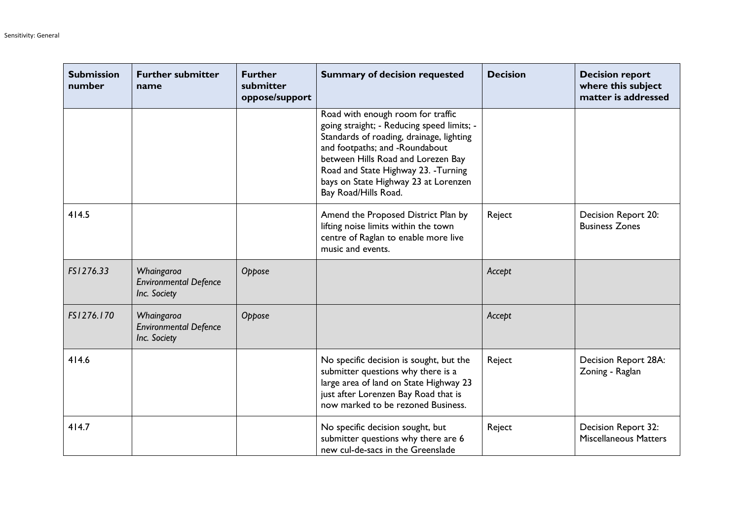| <b>Submission</b><br>number | <b>Further submitter</b><br>name                           | <b>Further</b><br>submitter<br>oppose/support | <b>Summary of decision requested</b>                                                                                                                                                                                                                                                                        | <b>Decision</b> | <b>Decision report</b><br>where this subject<br>matter is addressed |
|-----------------------------|------------------------------------------------------------|-----------------------------------------------|-------------------------------------------------------------------------------------------------------------------------------------------------------------------------------------------------------------------------------------------------------------------------------------------------------------|-----------------|---------------------------------------------------------------------|
|                             |                                                            |                                               | Road with enough room for traffic<br>going straight; - Reducing speed limits; -<br>Standards of roading, drainage, lighting<br>and footpaths; and -Roundabout<br>between Hills Road and Lorezen Bay<br>Road and State Highway 23. - Turning<br>bays on State Highway 23 at Lorenzen<br>Bay Road/Hills Road. |                 |                                                                     |
| 414.5                       |                                                            |                                               | Amend the Proposed District Plan by<br>lifting noise limits within the town<br>centre of Raglan to enable more live<br>music and events.                                                                                                                                                                    | Reject          | Decision Report 20:<br><b>Business Zones</b>                        |
| FS1276.33                   | Whaingaroa<br><b>Environmental Defence</b><br>Inc. Society | Oppose                                        |                                                                                                                                                                                                                                                                                                             | Accept          |                                                                     |
| FS1276.170                  | Whaingaroa<br><b>Environmental Defence</b><br>Inc. Society | Oppose                                        |                                                                                                                                                                                                                                                                                                             | Accept          |                                                                     |
| 414.6                       |                                                            |                                               | No specific decision is sought, but the<br>submitter questions why there is a<br>large area of land on State Highway 23<br>just after Lorenzen Bay Road that is<br>now marked to be rezoned Business.                                                                                                       | Reject          | Decision Report 28A:<br>Zoning - Raglan                             |
| 414.7                       |                                                            |                                               | No specific decision sought, but<br>submitter questions why there are 6<br>new cul-de-sacs in the Greenslade                                                                                                                                                                                                | Reject          | Decision Report 32:<br><b>Miscellaneous Matters</b>                 |